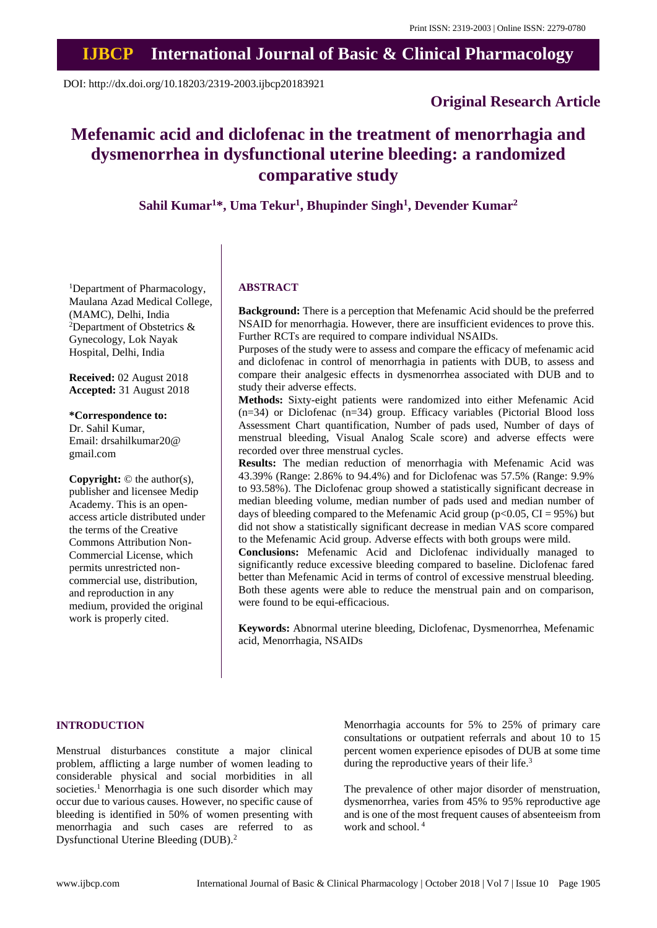# **IJBCP International Journal of Basic & Clinical Pharmacology**

DOI: http://dx.doi.org/10.18203/2319-2003.ijbcp20183921

# **Original Research Article**

# **Mefenamic acid and diclofenac in the treatment of menorrhagia and dysmenorrhea in dysfunctional uterine bleeding: a randomized comparative study**

**Sahil Kumar<sup>1</sup>\*, Uma Tekur<sup>1</sup> , Bhupinder Singh<sup>1</sup> , Devender Kumar<sup>2</sup>**

<sup>1</sup>Department of Pharmacology, Maulana Azad Medical College, (MAMC), Delhi, India <sup>2</sup>Department of Obstetrics  $\&$ Gynecology, Lok Nayak Hospital, Delhi, India

**Received:** 02 August 2018 **Accepted:** 31 August 2018

# **\*Correspondence to:**

Dr. Sahil Kumar, Email: drsahilkumar20@ gmail.com

**Copyright:** © the author(s), publisher and licensee Medip Academy. This is an openaccess article distributed under the terms of the Creative Commons Attribution Non-Commercial License, which permits unrestricted noncommercial use, distribution, and reproduction in any medium, provided the original work is properly cited.

#### **ABSTRACT**

**Background:** There is a perception that Mefenamic Acid should be the preferred NSAID for menorrhagia. However, there are insufficient evidences to prove this. Further RCTs are required to compare individual NSAIDs.

Purposes of the study were to assess and compare the efficacy of mefenamic acid and diclofenac in control of menorrhagia in patients with DUB, to assess and compare their analgesic effects in dysmenorrhea associated with DUB and to study their adverse effects.

**Methods:** Sixty-eight patients were randomized into either Mefenamic Acid (n=34) or Diclofenac (n=34) group. Efficacy variables (Pictorial Blood loss Assessment Chart quantification, Number of pads used, Number of days of menstrual bleeding, Visual Analog Scale score) and adverse effects were recorded over three menstrual cycles.

**Results:** The median reduction of menorrhagia with Mefenamic Acid was 43.39% (Range: 2.86% to 94.4%) and for Diclofenac was 57.5% (Range: 9.9% to 93.58%). The Diclofenac group showed a statistically significant decrease in median bleeding volume, median number of pads used and median number of days of bleeding compared to the Mefenamic Acid group ( $p<0.05$ , CI = 95%) but did not show a statistically significant decrease in median VAS score compared to the Mefenamic Acid group. Adverse effects with both groups were mild.

**Conclusions:** Mefenamic Acid and Diclofenac individually managed to significantly reduce excessive bleeding compared to baseline. Diclofenac fared better than Mefenamic Acid in terms of control of excessive menstrual bleeding. Both these agents were able to reduce the menstrual pain and on comparison, were found to be equi-efficacious.

**Keywords:** Abnormal uterine bleeding, Diclofenac, Dysmenorrhea, Mefenamic acid, Menorrhagia, NSAIDs

#### **INTRODUCTION**

Menstrual disturbances constitute a major clinical problem, afflicting a large number of women leading to considerable physical and social morbidities in all societies.<sup>1</sup> Menorrhagia is one such disorder which may occur due to various causes. However, no specific cause of bleeding is identified in 50% of women presenting with menorrhagia and such cases are referred to as Dysfunctional Uterine Bleeding (DUB).<sup>2</sup>

Menorrhagia accounts for 5% to 25% of primary care consultations or outpatient referrals and about 10 to 15 percent women experience episodes of DUB at some time during the reproductive years of their life.<sup>3</sup>

The prevalence of other major disorder of menstruation, dysmenorrhea, varies from 45% to 95% reproductive age and is one of the most frequent causes of absenteeism from work and school. <sup>4</sup>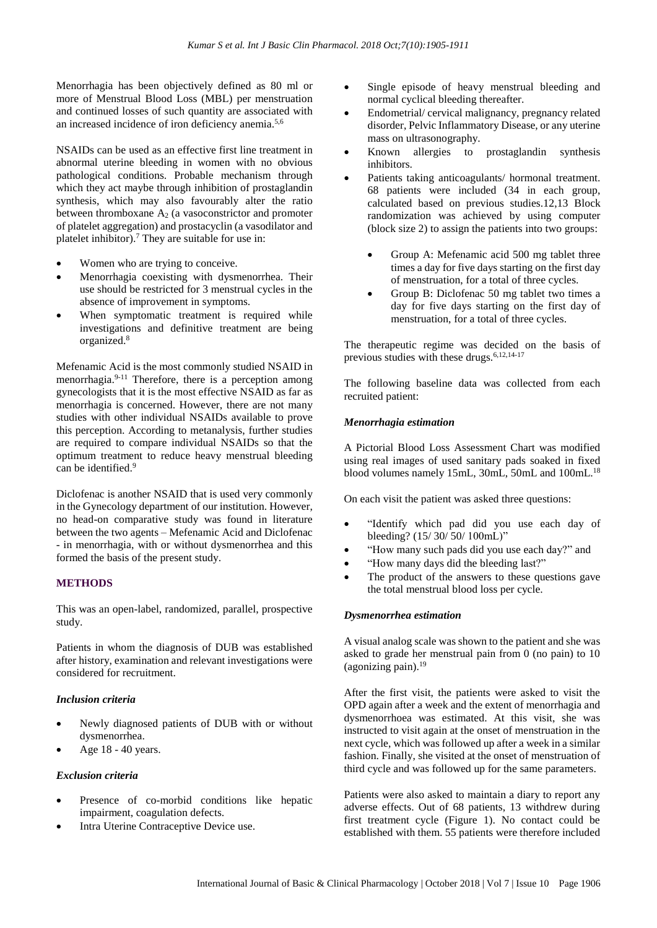Menorrhagia has been objectively defined as 80 ml or more of Menstrual Blood Loss (MBL) per menstruation and continued losses of such quantity are associated with an increased incidence of iron deficiency anemia.5,6

NSAIDs can be used as an effective first line treatment in abnormal uterine bleeding in women with no obvious pathological conditions. Probable mechanism through which they act maybe through inhibition of prostaglandin synthesis, which may also favourably alter the ratio between thromboxane  $A_2$  (a vasoconstrictor and promoter of platelet aggregation) and prostacyclin (a vasodilator and platelet inhibitor).<sup>7</sup> They are suitable for use in:

- Women who are trying to conceive.
- Menorrhagia coexisting with dysmenorrhea. Their use should be restricted for 3 menstrual cycles in the absence of improvement in symptoms.
- When symptomatic treatment is required while investigations and definitive treatment are being organized.<sup>8</sup>

Mefenamic Acid is the most commonly studied NSAID in menorrhagia.9-11 Therefore, there is a perception among gynecologists that it is the most effective NSAID as far as menorrhagia is concerned. However, there are not many studies with other individual NSAIDs available to prove this perception. According to metanalysis, further studies are required to compare individual NSAIDs so that the optimum treatment to reduce heavy menstrual bleeding can be identified.<sup>9</sup>

Diclofenac is another NSAID that is used very commonly in the Gynecology department of our institution. However, no head-on comparative study was found in literature between the two agents – Mefenamic Acid and Diclofenac - in menorrhagia, with or without dysmenorrhea and this formed the basis of the present study.

# **METHODS**

This was an open-label, randomized, parallel, prospective study.

Patients in whom the diagnosis of DUB was established after history, examination and relevant investigations were considered for recruitment.

#### *Inclusion criteria*

- Newly diagnosed patients of DUB with or without dysmenorrhea.
- Age 18 40 years.

#### *Exclusion criteria*

- Presence of co-morbid conditions like hepatic impairment, coagulation defects.
- Intra Uterine Contraceptive Device use.
- Single episode of heavy menstrual bleeding and normal cyclical bleeding thereafter.
- Endometrial/ cervical malignancy, pregnancy related disorder, Pelvic Inflammatory Disease, or any uterine mass on ultrasonography.
- Known allergies to prostaglandin synthesis inhibitors.
- Patients taking anticoagulants/ hormonal treatment. 68 patients were included (34 in each group, calculated based on previous studies.12,13 Block randomization was achieved by using computer (block size 2) to assign the patients into two groups:
	- Group A: Mefenamic acid 500 mg tablet three times a day for five days starting on the first day of menstruation, for a total of three cycles.
	- Group B: Diclofenac 50 mg tablet two times a day for five days starting on the first day of menstruation, for a total of three cycles.

The therapeutic regime was decided on the basis of previous studies with these drugs.<sup>6,12,14-17</sup>

The following baseline data was collected from each recruited patient:

#### *Menorrhagia estimation*

A Pictorial Blood Loss Assessment Chart was modified using real images of used sanitary pads soaked in fixed blood volumes namely 15mL, 30mL, 50mL and 100mL.<sup>18</sup>

On each visit the patient was asked three questions:

- "Identify which pad did you use each day of bleeding? (15/ 30/ 50/ 100mL)"
- "How many such pads did you use each day?" and
- "How many days did the bleeding last?"
- The product of the answers to these questions gave the total menstrual blood loss per cycle.

#### *Dysmenorrhea estimation*

A visual analog scale was shown to the patient and she was asked to grade her menstrual pain from 0 (no pain) to 10 (agonizing pain). $19$ 

After the first visit, the patients were asked to visit the OPD again after a week and the extent of menorrhagia and dysmenorrhoea was estimated. At this visit, she was instructed to visit again at the onset of menstruation in the next cycle, which was followed up after a week in a similar fashion. Finally, she visited at the onset of menstruation of third cycle and was followed up for the same parameters.

Patients were also asked to maintain a diary to report any adverse effects. Out of 68 patients, 13 withdrew during first treatment cycle (Figure 1). No contact could be established with them. 55 patients were therefore included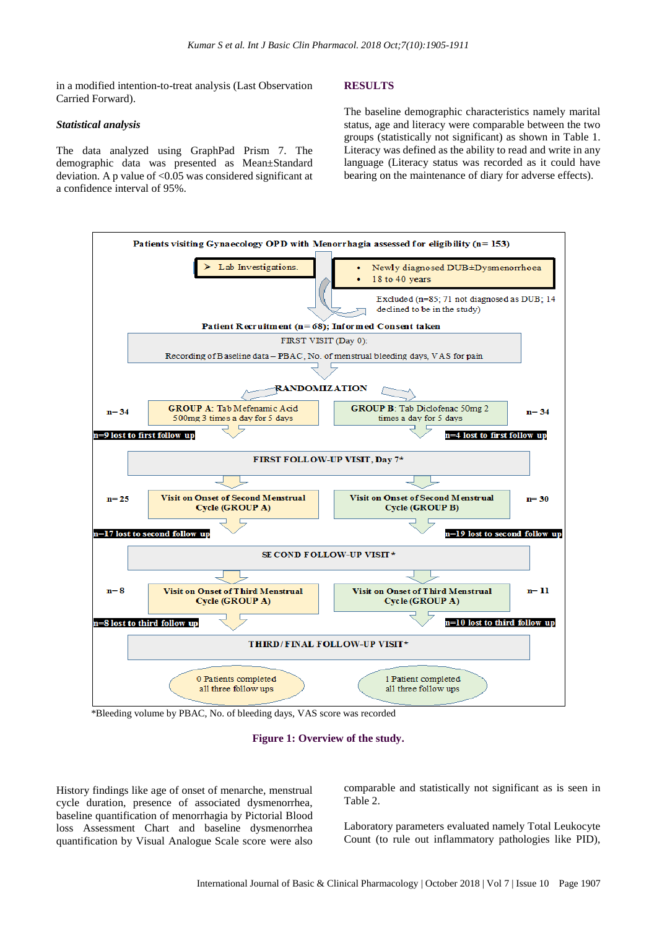in a modified intention-to-treat analysis (Last Observation Carried Forward).

#### *Statistical analysis*

The data analyzed using GraphPad Prism 7. The demographic data was presented as Mean±Standard deviation. A p value of  $< 0.05$  was considered significant at a confidence interval of 95%.

#### **RESULTS**

The baseline demographic characteristics namely marital status, age and literacy were comparable between the two groups (statistically not significant) as shown in Table 1. Literacy was defined as the ability to read and write in any language (Literacy status was recorded as it could have bearing on the maintenance of diary for adverse effects).



\*Bleeding volume by PBAC, No. of bleeding days, VAS score was recorded

**Figure 1: Overview of the study.**

History findings like age of onset of menarche, menstrual cycle duration, presence of associated dysmenorrhea, baseline quantification of menorrhagia by Pictorial Blood loss Assessment Chart and baseline dysmenorrhea quantification by Visual Analogue Scale score were also comparable and statistically not significant as is seen in Table 2.

Laboratory parameters evaluated namely Total Leukocyte Count (to rule out inflammatory pathologies like PID),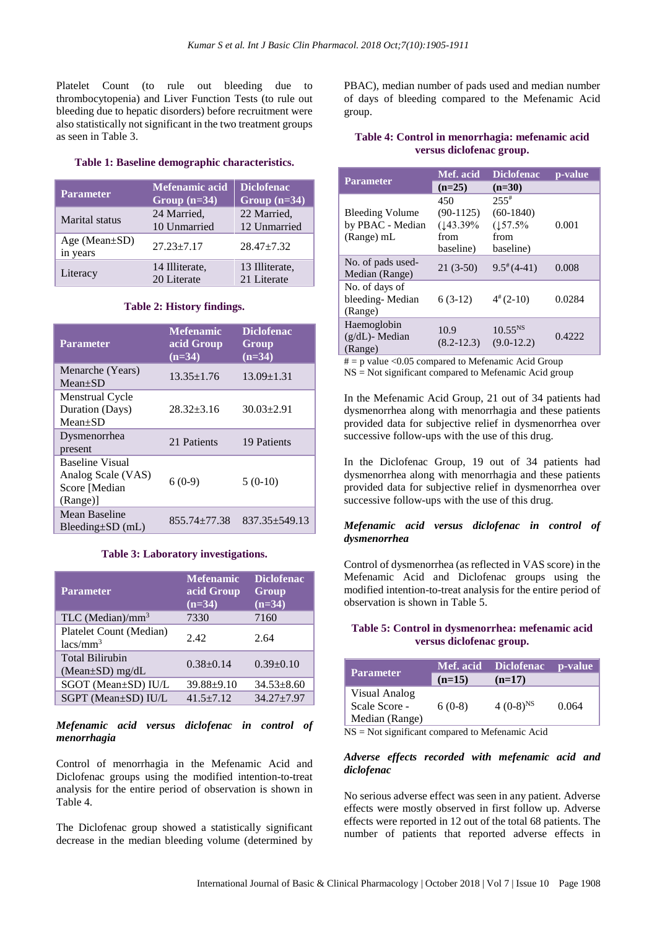Platelet Count (to rule out bleeding due to thrombocytopenia) and Liver Function Tests (to rule out bleeding due to hepatic disorders) before recruitment were also statistically not significant in the two treatment groups as seen in Table 3.

#### **Table 1: Baseline demographic characteristics.**

| <b>Parameter</b>                | <b>Mefenamic acid</b><br>Group $(n=34)$ | <b>Diclofenac</b><br>Group $(n=34)$ |  |  |
|---------------------------------|-----------------------------------------|-------------------------------------|--|--|
| Marital status                  | 24 Married,<br>10 Unmarried             | 22 Married,<br>12 Unmarried         |  |  |
| Age (Mean $\pm$ SD)<br>in years | $27.23 + 7.17$                          | $28.47 + 7.32$                      |  |  |
| Literacy                        | 14 Illiterate,<br>20 Literate           | 13 Illiterate,<br>21 Literate       |  |  |

# **Table 2: History findings.**

| <b>Parameter</b>                                                          | <b>Mefenamic</b><br>acid Group<br>$(n=34)$ | <b>Diclofenac</b><br>Group<br>$(n=34)$ |
|---------------------------------------------------------------------------|--------------------------------------------|----------------------------------------|
| Menarche (Years)<br>$Mean+SD$                                             | $13.35 \pm 1.76$                           | $13.09 \pm 1.31$                       |
| Menstrual Cycle<br>Duration (Days)<br>$Mean+SD$                           | $28.32 + 3.16$                             | $30.03 + 2.91$                         |
| Dysmenorrhea<br>present                                                   | 21 Patients                                | 19 Patients                            |
| <b>Baseline Visual</b><br>Analog Scale (VAS)<br>Score [Median<br>(Range)] | $6(0-9)$                                   | $5(0-10)$                              |
| <b>Mean Baseline</b><br>$B$ leeding $\pm SD$ (mL)                         | $855.74 + 77.38$                           | $837.35 \pm 549.13$                    |

#### **Table 3: Laboratory investigations.**

| <b>Parameter</b>                                | <b>Mefenamic</b><br>acid Group<br>$(n=34)$ | <b>Diclofenac</b><br>Group<br>$(n=34)$ |
|-------------------------------------------------|--------------------------------------------|----------------------------------------|
| TLC (Median)/ $mm3$                             | 7330                                       | 7160                                   |
| Platelet Count (Median)<br>$lacs/mm^3$          | 2.42                                       | 2.64                                   |
| <b>Total Bilirubin</b><br>(Mean $\pm$ SD) mg/dL | $0.38 \pm 0.14$                            | $0.39 \pm 0.10$                        |
| SGOT (Mean+SD) IU/L                             | $39.88 + 9.10$                             | $34.53 + 8.60$                         |
| SGPT (Mean±SD) IU/L                             | $41.5 + 7.12$                              | $34.27 + 7.97$                         |

# *Mefenamic acid versus diclofenac in control of menorrhagia*

Control of menorrhagia in the Mefenamic Acid and Diclofenac groups using the modified intention-to-treat analysis for the entire period of observation is shown in Table 4.

The Diclofenac group showed a statistically significant decrease in the median bleeding volume (determined by

PBAC), median number of pads used and median number of days of bleeding compared to the Mefenamic Acid group.

# **Table 4: Control in menorrhagia: mefenamic acid versus diclofenac group.**

| <b>Parameter</b>                                         | Mef. acid                                           | <b>Diclofenac</b>                                                 | p-value |  |
|----------------------------------------------------------|-----------------------------------------------------|-------------------------------------------------------------------|---------|--|
|                                                          | $(n=25)$                                            | $(n=30)$                                                          |         |  |
| <b>Bleeding Volume</b><br>by PBAC - Median<br>(Range) mL | 450<br>$(90-1125)$<br>(143.39%<br>from<br>baseline) | $255$ <sup>#</sup><br>$(60-1840)$<br>(157.5%<br>from<br>baseline) | 0.001   |  |
| No. of pads used-<br>Median (Range)                      | $21(3-50)$                                          | $9.5^*(4-41)$                                                     | 0.008   |  |
| No. of days of<br>bleeding-Median<br>(Range)             | $6(3-12)$                                           | $4^*(2-10)$                                                       | 0.0284  |  |
| Haemoglobin<br>$(g/dL)$ - Median<br>(Range)              | 10.9<br>$(8.2 - 12.3)$                              | $10.55^{NS}$<br>$(9.0 - 12.2)$                                    | 0.4222  |  |

 $# = p$  value <0.05 compared to Mefenamic Acid Group

 $NS = Not$  significant compared to Mefenamic Acid group

In the Mefenamic Acid Group, 21 out of 34 patients had dysmenorrhea along with menorrhagia and these patients provided data for subjective relief in dysmenorrhea over successive follow-ups with the use of this drug.

In the Diclofenac Group, 19 out of 34 patients had dysmenorrhea along with menorrhagia and these patients provided data for subjective relief in dysmenorrhea over successive follow-ups with the use of this drug.

# *Mefenamic acid versus diclofenac in control of dysmenorrhea*

Control of dysmenorrhea (as reflected in VAS score) in the Mefenamic Acid and Diclofenac groups using the modified intention-to-treat analysis for the entire period of observation is shown in Table 5.

# **Table 5: Control in dysmenorrhea: mefenamic acid versus diclofenac group.**

| <b>Parameter</b>                                 |          | Mef. acid Diclofenac | <b>p</b> -value |
|--------------------------------------------------|----------|----------------------|-----------------|
|                                                  | $(n=15)$ | $(n=17)$             |                 |
| Visual Analog<br>Scale Score -<br>Median (Range) | $6(0-8)$ | $4(0-8)^{NS}$        | 0.064           |

NS = Not significant compared to Mefenamic Acid

# *Adverse effects recorded with mefenamic acid and diclofenac*

No serious adverse effect was seen in any patient. Adverse effects were mostly observed in first follow up. Adverse effects were reported in 12 out of the total 68 patients. The number of patients that reported adverse effects in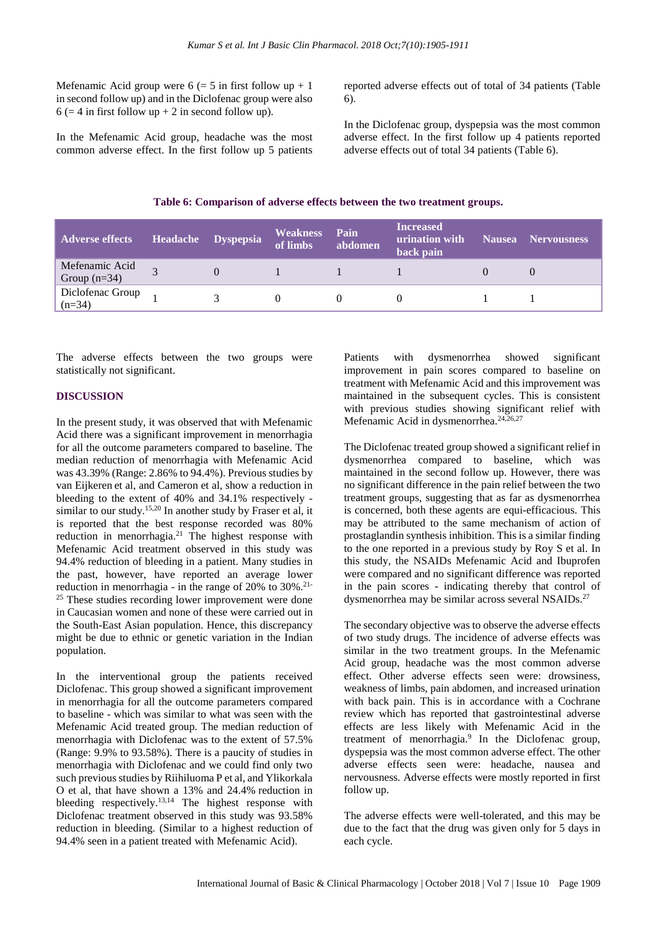Mefenamic Acid group were  $6 (= 5$  in first follow up  $+ 1$ in second follow up) and in the Diclofenac group were also  $6 (= 4$  in first follow up + 2 in second follow up).

In the Mefenamic Acid group, headache was the most common adverse effect. In the first follow up 5 patients

reported adverse effects out of total of 34 patients (Table 6).

In the Diclofenac group, dyspepsia was the most common adverse effect. In the first follow up 4 patients reported adverse effects out of total 34 patients (Table 6).

**Table 6: Comparison of adverse effects between the two treatment groups.**

| <b>Adverse effects</b>           | Headache Dyspepsia | <b>Weakness</b><br>of limbs | Pain<br>abdomen | <b>Increased</b><br>urination with<br>back pain | Nausea Nervousness |
|----------------------------------|--------------------|-----------------------------|-----------------|-------------------------------------------------|--------------------|
| Mefenamic Acid<br>Group $(n=34)$ |                    |                             |                 |                                                 |                    |
| Diclofenac Group<br>$(n=34)$     |                    |                             |                 |                                                 |                    |

The adverse effects between the two groups were statistically not significant.

# **DISCUSSION**

In the present study, it was observed that with Mefenamic Acid there was a significant improvement in menorrhagia for all the outcome parameters compared to baseline. The median reduction of menorrhagia with Mefenamic Acid was 43.39% (Range: 2.86% to 94.4%). Previous studies by van Eijkeren et al, and Cameron et al, show a reduction in bleeding to the extent of 40% and 34.1% respectively similar to our study.<sup>15,20</sup> In another study by Fraser et al, it is reported that the best response recorded was 80% reduction in menorrhagia.<sup>21</sup> The highest response with Mefenamic Acid treatment observed in this study was 94.4% reduction of bleeding in a patient. Many studies in the past, however, have reported an average lower reduction in menorrhagia - in the range of  $20\%$  to  $30\%$ .<sup>21-</sup> <sup>25</sup> These studies recording lower improvement were done in Caucasian women and none of these were carried out in the South-East Asian population. Hence, this discrepancy might be due to ethnic or genetic variation in the Indian population.

In the interventional group the patients received Diclofenac. This group showed a significant improvement in menorrhagia for all the outcome parameters compared to baseline - which was similar to what was seen with the Mefenamic Acid treated group. The median reduction of menorrhagia with Diclofenac was to the extent of 57.5% (Range: 9.9% to 93.58%). There is a paucity of studies in menorrhagia with Diclofenac and we could find only two such previous studies by Riihiluoma P et al, and Ylikorkala O et al, that have shown a 13% and 24.4% reduction in bleeding respectively.<sup>13,14</sup> The highest response with Diclofenac treatment observed in this study was 93.58% reduction in bleeding. (Similar to a highest reduction of 94.4% seen in a patient treated with Mefenamic Acid).

Patients with dysmenorrhea showed significant improvement in pain scores compared to baseline on treatment with Mefenamic Acid and this improvement was maintained in the subsequent cycles. This is consistent with previous studies showing significant relief with Mefenamic Acid in dysmenorrhea.24,26,27

The Diclofenac treated group showed a significant relief in dysmenorrhea compared to baseline, which was maintained in the second follow up. However, there was no significant difference in the pain relief between the two treatment groups, suggesting that as far as dysmenorrhea is concerned, both these agents are equi-efficacious. This may be attributed to the same mechanism of action of prostaglandin synthesis inhibition. This is a similar finding to the one reported in a previous study by Roy S et al. In this study, the NSAIDs Mefenamic Acid and Ibuprofen were compared and no significant difference was reported in the pain scores - indicating thereby that control of dysmenorrhea may be similar across several NSAIDs.<sup>27</sup>

The secondary objective was to observe the adverse effects of two study drugs. The incidence of adverse effects was similar in the two treatment groups. In the Mefenamic Acid group, headache was the most common adverse effect. Other adverse effects seen were: drowsiness, weakness of limbs, pain abdomen, and increased urination with back pain. This is in accordance with a Cochrane review which has reported that gastrointestinal adverse effects are less likely with Mefenamic Acid in the treatment of menorrhagia.<sup>9</sup> In the Diclofenac group, dyspepsia was the most common adverse effect. The other adverse effects seen were: headache, nausea and nervousness*.* Adverse effects were mostly reported in first follow up.

The adverse effects were well-tolerated, and this may be due to the fact that the drug was given only for 5 days in each cycle.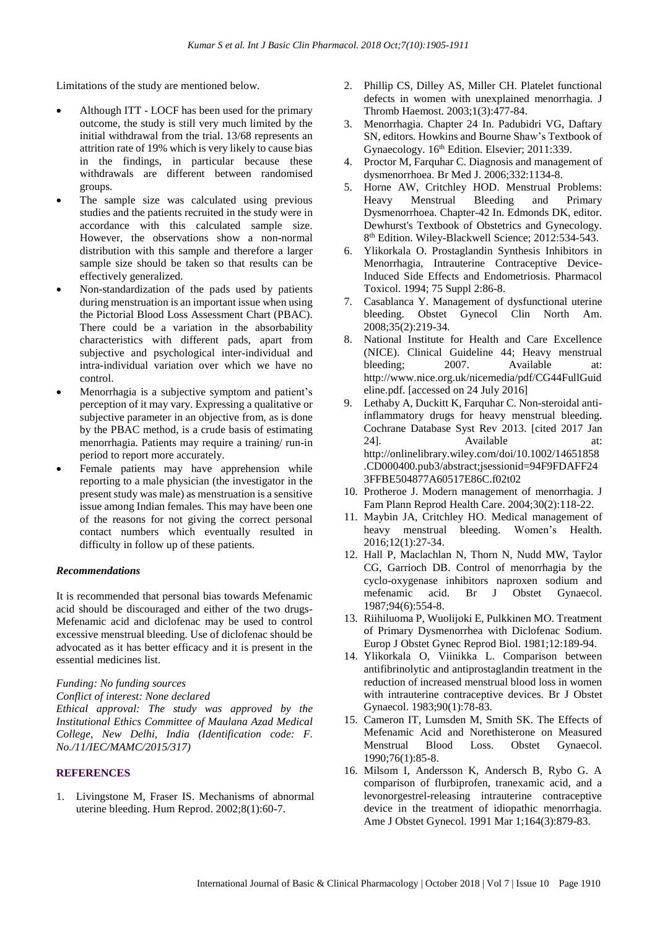Limitations of the study are mentioned below.

- Although ITT LOCF has been used for the primary outcome, the study is still very much limited by the initial withdrawal from the trial. 13/68 represents an attrition rate of 19% which is very likely to cause bias in the findings, in particular because these withdrawals are different between randomised groups.
- The sample size was calculated using previous studies and the patients recruited in the study were in accordance with this calculated sample size. However, the observations show a non-normal distribution with this sample and therefore a larger sample size should be taken so that results can be effectively generalized.
- Non-standardization of the pads used by patients during menstruation is an important issue when using the Pictorial Blood Loss Assessment Chart (PBAC). There could be a variation in the absorbability characteristics with different pads, apart from subjective and psychological inter-individual and intra-individual variation over which we have no control.
- Menorrhagia is a subjective symptom and patient's perception of it may vary. Expressing a qualitative or subjective parameter in an objective from, as is done by the PBAC method, is a crude basis of estimating menorrhagia. Patients may require a training/ run-in period to report more accurately.
- Female patients may have apprehension while reporting to a male physician (the investigator in the present study was male) as menstruation is a sensitive issue among Indian females. This may have been one of the reasons for not giving the correct personal contact numbers which eventually resulted in difficulty in follow up of these patients.

#### *Recommendations*

It is recommended that personal bias towards Mefenamic acid should be discouraged and either of the two drugs-Mefenamic acid and diclofenac may be used to control excessive menstrual bleeding. Use of diclofenac should be advocated as it has better efficacy and it is present in the essential medicines list.

#### *Funding: No funding sources*

*Conflict of interest: None declared*

*Ethical approval: The study was approved by the Institutional Ethics Committee of Maulana Azad Medical College, New Delhi, India (Identification code: F. No./11/IEC/MAMC/2015/317)*

#### **REFERENCES**

1. Livingstone M, Fraser IS. Mechanisms of abnormal uterine bleeding. Hum Reprod. 2002;8(1):60-7.

- 2. Phillip CS, Dilley AS, Miller CH. Platelet functional defects in women with unexplained menorrhagia. J Thromb Haemost. 2003;1(3):477-84.
- 3. Menorrhagia. Chapter 24 In. Padubidri VG, Daftary SN, editors. Howkins and Bourne Shaw's Textbook of Gynaecology. 16<sup>th</sup> Edition. Elsevier; 2011:339.
- 4. Proctor M, Farquhar C. Diagnosis and management of dysmenorrhoea. Br Med J. 2006;332:1134-8.
- 5. Horne AW, Critchley HOD. Menstrual Problems: Heavy Menstrual Bleeding and Primary Dysmenorrhoea. Chapter-42 In. Edmonds DK, editor. Dewhurst's Textbook of Obstetrics and Gynecology. 8 th Edition. Wiley-Blackwell Science; 2012:534-543.
- 6. Ylikorkala O. Prostaglandin Synthesis Inhibitors in Menorrhagia, Intrauterine Contraceptive Device-Induced Side Effects and Endometriosis. Pharmacol Toxicol. 1994; 75 Suppl 2:86-8.
- 7. Casablanca Y. Management of dysfunctional uterine bleeding. Obstet Gynecol Clin North Am. 2008;35(2):219-34.
- 8. National Institute for Health and Care Excellence (NICE). Clinical Guideline 44; Heavy menstrual bleeding; 2007. Available at: http://www.nice.org.uk/nicemedia/pdf/CG44FullGuid eline.pdf. [accessed on 24 July 2016]
- 9. Lethaby A, Duckitt K, Farquhar C. Non-steroidal antiinflammatory drugs for heavy menstrual bleeding. Cochrane Database Syst Rev 2013. [cited 2017 Jan 24]. Available at: http://onlinelibrary.wiley.com/doi/10.1002/14651858 .CD000400.pub3/abstract;jsessionid=94F9FDAFF24 3FFBE504877A60517E86C.f02t02
- 10. Protheroe J. Modern management of menorrhagia. J Fam Plann Reprod Health Care. 2004;30(2):118-22.
- 11. Maybin JA, Critchley HO. Medical management of heavy menstrual bleeding. Women's Health. 2016;12(1):27-34.
- 12. Hall P, Maclachlan N, Thorn N, Nudd MW, Taylor CG, Garrioch DB. Control of menorrhagia by the cyclo-oxygenase inhibitors naproxen sodium and mefenamic acid. Br J Obstet Gynaecol. 1987;94(6):554-8.
- 13. Riihiluoma P, Wuolijoki E, Pulkkinen MO. Treatment of Primary Dysmenorrhea with Diclofenac Sodium. Europ J Obstet Gynec Reprod Biol. 1981;12:189-94.
- 14. Ylikorkala O, Viinikka L. Comparison between antifibrinolytic and antiprostaglandin treatment in the reduction of increased menstrual blood loss in women with intrauterine contraceptive devices. Br J Obstet Gynaecol. 1983;90(1):78-83.
- 15. Cameron IT, Lumsden M, Smith SK. The Effects of Mefenamic Acid and Norethisterone on Measured Menstrual Blood Loss. Obstet Gynaecol. 1990;76(1):85-8.
- 16. Milsom I, Andersson K, Andersch B, Rybo G. A comparison of flurbiprofen, tranexamic acid, and a levonorgestrel-releasing intrauterine contraceptive device in the treatment of idiopathic menorrhagia. Ame J Obstet Gynecol. 1991 Mar 1;164(3):879-83.